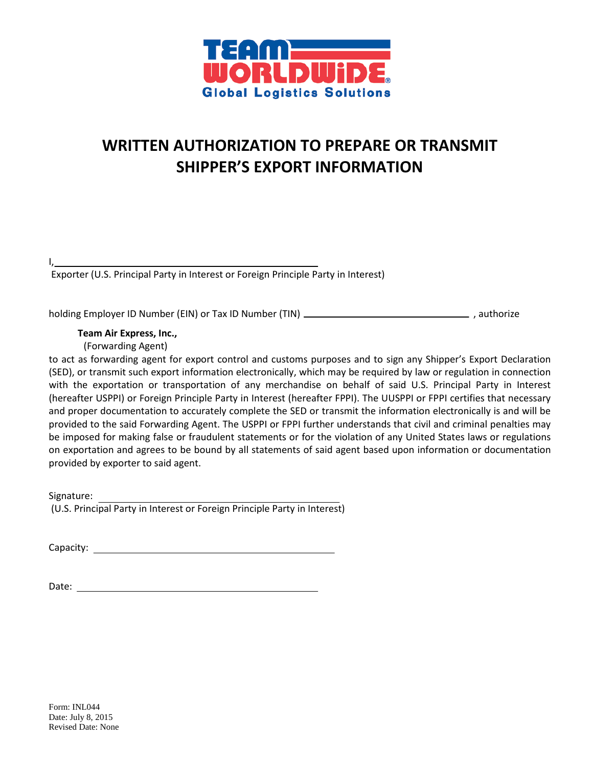

## **WRITTEN AUTHORIZATION TO PREPARE OR TRANSMIT SHIPPER'S EXPORT INFORMATION**

I,

Exporter (U.S. Principal Party in Interest or Foreign Principle Party in Interest)

holding Employer ID Number (EIN) or Tax ID Number (TIN)  $\overline{\phantom{a} \phantom{a}}$  , authorize

 **Team Air Express, Inc.,**

(Forwarding Agent)

to act as forwarding agent for export control and customs purposes and to sign any Shipper's Export Declaration (SED), or transmit such export information electronically, which may be required by law or regulation in connection with the exportation or transportation of any merchandise on behalf of said U.S. Principal Party in Interest (hereafter USPPI) or Foreign Principle Party in Interest (hereafter FPPI). The UUSPPI or FPPI certifies that necessary and proper documentation to accurately complete the SED or transmit the information electronically is and will be provided to the said Forwarding Agent. The USPPI or FPPI further understands that civil and criminal penalties may be imposed for making false or fraudulent statements or for the violation of any United States laws or regulations on exportation and agrees to be bound by all statements of said agent based upon information or documentation provided by exporter to said agent.

Signature: (U.S. Principal Party in Interest or Foreign Principle Party in Interest)

Capacity: experience of the second state of the second state of the second state of the second state of the second state of the second state of the second state of the second state of the second state of the second state o

Date: